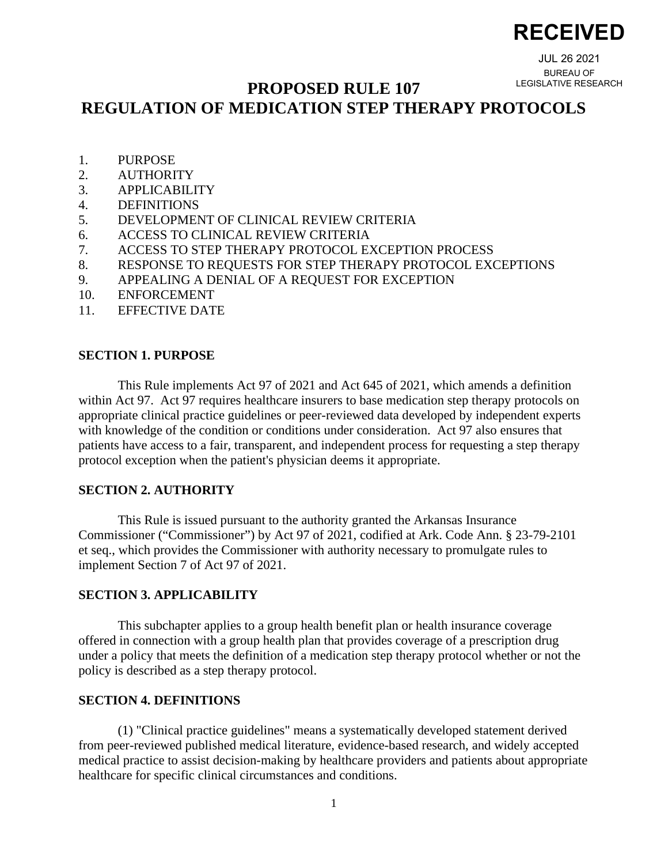# **RECEIVED**

JUL 26 2021 BUREAU OF LEGISLATIVE RESEARCH

# **PROPOSED RULE 107**

# **REGULATION OF MEDICATION STEP THERAPY PROTOCOLS**

- 1. PURPOSE
- 2. AUTHORITY
- 3. APPLICABILITY
- 4. DEFINITIONS
- 5. DEVELOPMENT OF CLINICAL REVIEW CRITERIA
- 6. ACCESS TO CLINICAL REVIEW CRITERIA
- 7. ACCESS TO STEP THERAPY PROTOCOL EXCEPTION PROCESS
- 8. RESPONSE TO REQUESTS FOR STEP THERAPY PROTOCOL EXCEPTIONS
- 9. APPEALING A DENIAL OF A REQUEST FOR EXCEPTION
- 10. ENFORCEMENT
- 11. EFFECTIVE DATE

#### **SECTION 1. PURPOSE**

This Rule implements Act 97 of 2021 and Act 645 of 2021, which amends a definition within Act 97. Act 97 requires healthcare insurers to base medication step therapy protocols on appropriate clinical practice guidelines or peer-reviewed data developed by independent experts with knowledge of the condition or conditions under consideration. Act 97 also ensures that patients have access to a fair, transparent, and independent process for requesting a step therapy protocol exception when the patient's physician deems it appropriate.

#### **SECTION 2. AUTHORITY**

This Rule is issued pursuant to the authority granted the Arkansas Insurance Commissioner ("Commissioner") by Act 97 of 2021, codified at Ark. Code Ann. § 23-79-2101 et seq., which provides the Commissioner with authority necessary to promulgate rules to implement Section 7 of Act 97 of 2021.

## **SECTION 3. APPLICABILITY**

This subchapter applies to a group health benefit plan or health insurance coverage offered in connection with a group health plan that provides coverage of a prescription drug under a policy that meets the definition of a medication step therapy protocol whether or not the policy is described as a step therapy protocol.

## **SECTION 4. DEFINITIONS**

(1) "Clinical practice guidelines" means a systematically developed statement derived from peer-reviewed published medical literature, evidence-based research, and widely accepted medical practice to assist decision-making by healthcare providers and patients about appropriate healthcare for specific clinical circumstances and conditions.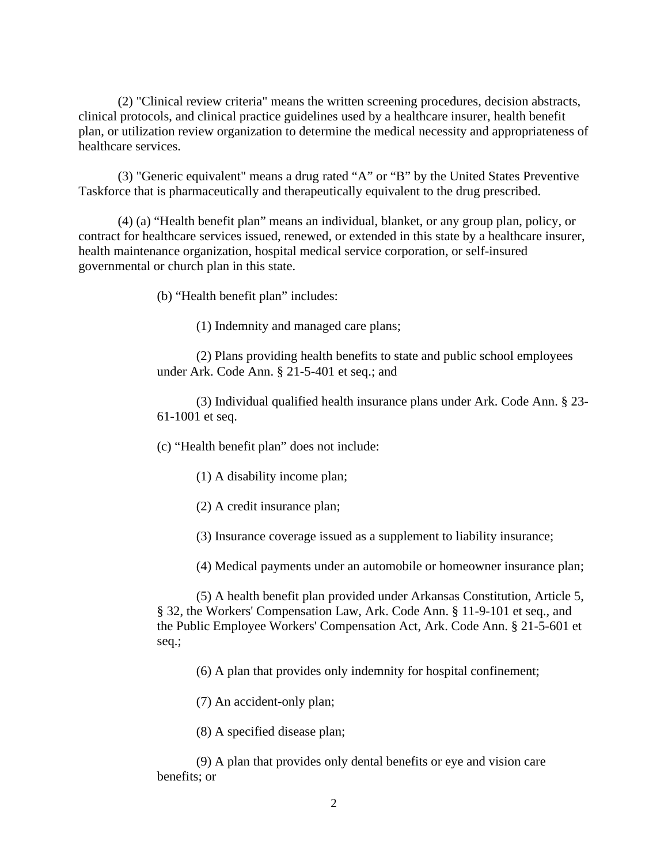(2) "Clinical review criteria" means the written screening procedures, decision abstracts, clinical protocols, and clinical practice guidelines used by a healthcare insurer, health benefit plan, or utilization review organization to determine the medical necessity and appropriateness of healthcare services.

(3) "Generic equivalent" means a drug rated "A" or "B" by the United States Preventive Taskforce that is pharmaceutically and therapeutically equivalent to the drug prescribed.

(4) (a) "Health benefit plan" means an individual, blanket, or any group plan, policy, or contract for healthcare services issued, renewed, or extended in this state by a healthcare insurer, health maintenance organization, hospital medical service corporation, or self-insured governmental or church plan in this state.

(b) "Health benefit plan" includes:

(1) Indemnity and managed care plans;

(2) Plans providing health benefits to state and public school employees under Ark. Code Ann. § 21-5-401 et seq.; and

(3) Individual qualified health insurance plans under Ark. Code Ann. § 23- 61-1001 et seq.

(c) "Health benefit plan" does not include:

(1) A disability income plan;

(2) A credit insurance plan;

(3) Insurance coverage issued as a supplement to liability insurance;

(4) Medical payments under an automobile or homeowner insurance plan;

(5) A health benefit plan provided under Arkansas Constitution, Article 5, § 32, the Workers' Compensation Law, Ark. Code Ann. § 11-9-101 et seq., and the Public Employee Workers' Compensation Act, Ark. Code Ann. § 21-5-601 et seq.;

(6) A plan that provides only indemnity for hospital confinement;

(7) An accident-only plan;

(8) A specified disease plan;

(9) A plan that provides only dental benefits or eye and vision care benefits; or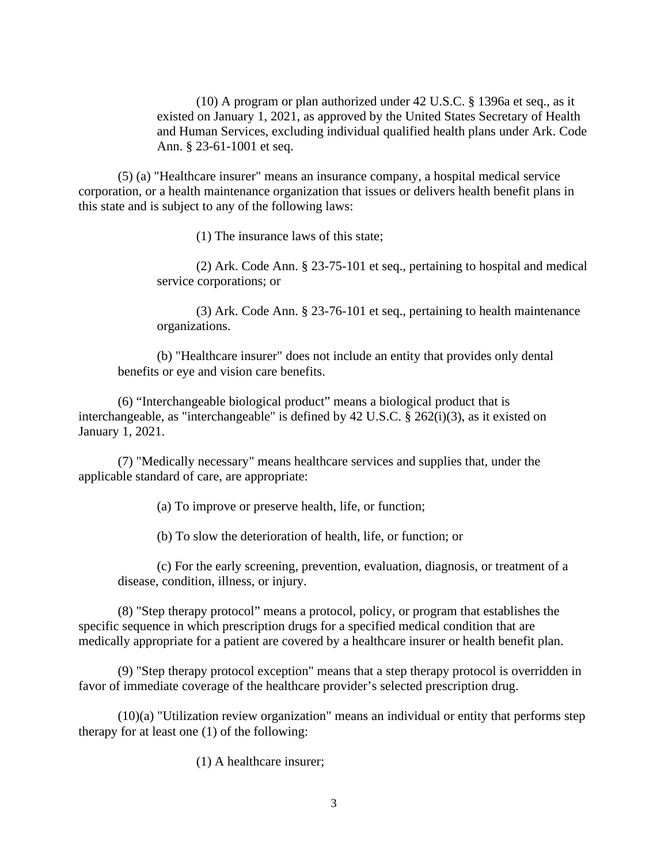(10) A program or plan authorized under 42 U.S.C. § 1396a et seq., as it existed on January 1, 2021, as approved by the United States Secretary of Health and Human Services, excluding individual qualified health plans under Ark. Code Ann. § 23-61-1001 et seq.

(5) (a) "Healthcare insurer" means an insurance company, a hospital medical service corporation, or a health maintenance organization that issues or delivers health benefit plans in this state and is subject to any of the following laws:

(1) The insurance laws of this state;

(2) Ark. Code Ann. § 23-75-101 et seq., pertaining to hospital and medical service corporations; or

(3) Ark. Code Ann. § 23-76-101 et seq., pertaining to health maintenance organizations.

(b) "Healthcare insurer" does not include an entity that provides only dental benefits or eye and vision care benefits.

(6) "Interchangeable biological product" means a biological product that is interchangeable, as "interchangeable" is defined by 42 U.S.C. § 262(i)(3), as it existed on January 1, 2021.

(7) "Medically necessary" means healthcare services and supplies that, under the applicable standard of care, are appropriate:

(a) To improve or preserve health, life, or function;

(b) To slow the deterioration of health, life, or function; or

(c) For the early screening, prevention, evaluation, diagnosis, or treatment of a disease, condition, illness, or injury.

(8) "Step therapy protocol" means a protocol, policy, or program that establishes the specific sequence in which prescription drugs for a specified medical condition that are medically appropriate for a patient are covered by a healthcare insurer or health benefit plan.

(9) "Step therapy protocol exception" means that a step therapy protocol is overridden in favor of immediate coverage of the healthcare provider's selected prescription drug.

(10)(a) "Utilization review organization" means an individual or entity that performs step therapy for at least one (1) of the following:

(1) A healthcare insurer;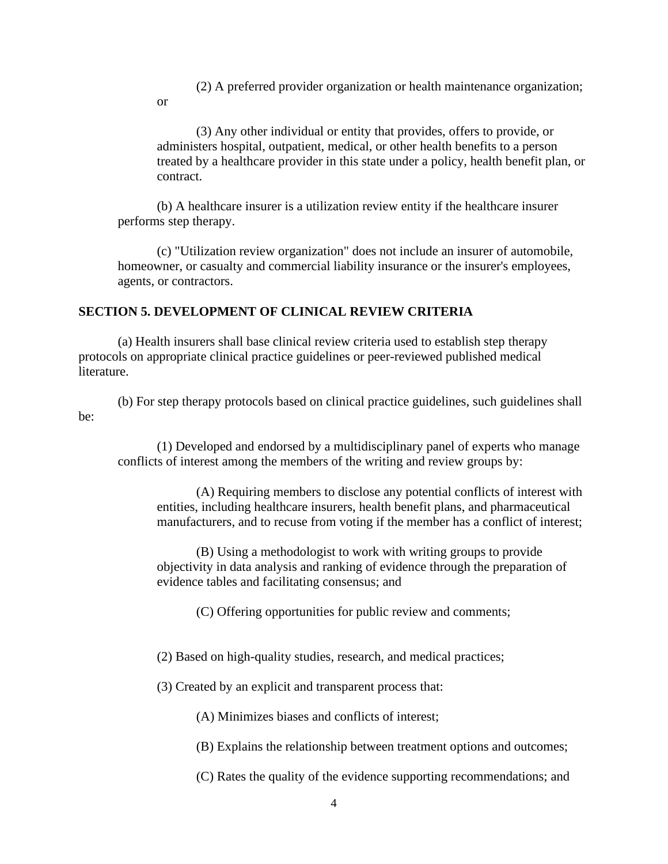(2) A preferred provider organization or health maintenance organization;

or

(3) Any other individual or entity that provides, offers to provide, or administers hospital, outpatient, medical, or other health benefits to a person treated by a healthcare provider in this state under a policy, health benefit plan, or contract.

(b) A healthcare insurer is a utilization review entity if the healthcare insurer performs step therapy.

(c) "Utilization review organization" does not include an insurer of automobile, homeowner, or casualty and commercial liability insurance or the insurer's employees, agents, or contractors.

# **SECTION 5. DEVELOPMENT OF CLINICAL REVIEW CRITERIA**

(a) Health insurers shall base clinical review criteria used to establish step therapy protocols on appropriate clinical practice guidelines or peer-reviewed published medical literature.

(b) For step therapy protocols based on clinical practice guidelines, such guidelines shall be:

(1) Developed and endorsed by a multidisciplinary panel of experts who manage conflicts of interest among the members of the writing and review groups by:

(A) Requiring members to disclose any potential conflicts of interest with entities, including healthcare insurers, health benefit plans, and pharmaceutical manufacturers, and to recuse from voting if the member has a conflict of interest;

(B) Using a methodologist to work with writing groups to provide objectivity in data analysis and ranking of evidence through the preparation of evidence tables and facilitating consensus; and

(C) Offering opportunities for public review and comments;

(2) Based on high-quality studies, research, and medical practices;

(3) Created by an explicit and transparent process that:

(A) Minimizes biases and conflicts of interest;

(B) Explains the relationship between treatment options and outcomes;

(C) Rates the quality of the evidence supporting recommendations; and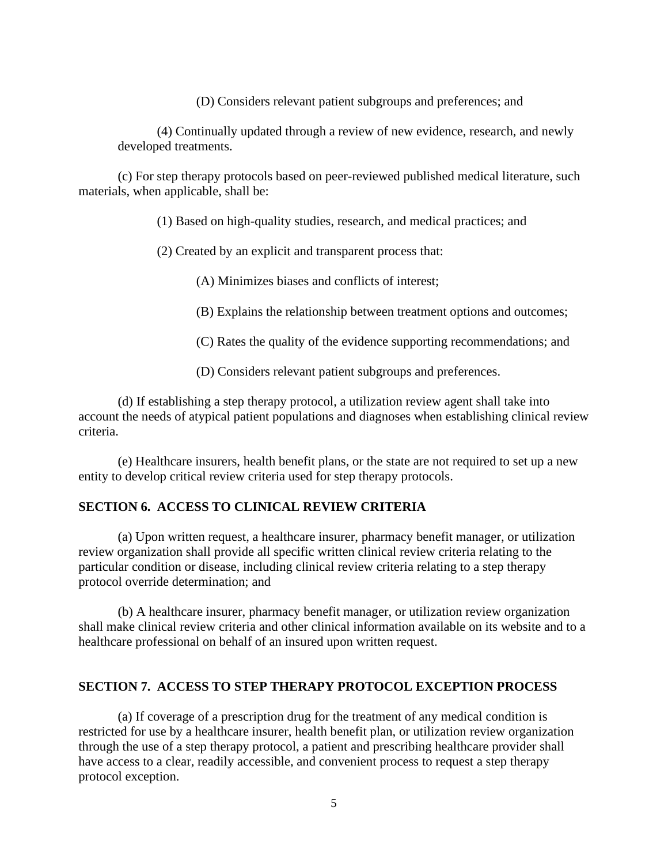(D) Considers relevant patient subgroups and preferences; and

(4) Continually updated through a review of new evidence, research, and newly developed treatments.

(c) For step therapy protocols based on peer-reviewed published medical literature, such materials, when applicable, shall be:

(1) Based on high-quality studies, research, and medical practices; and

(2) Created by an explicit and transparent process that:

(A) Minimizes biases and conflicts of interest;

(B) Explains the relationship between treatment options and outcomes;

(C) Rates the quality of the evidence supporting recommendations; and

(D) Considers relevant patient subgroups and preferences.

(d) If establishing a step therapy protocol, a utilization review agent shall take into account the needs of atypical patient populations and diagnoses when establishing clinical review criteria.

(e) Healthcare insurers, health benefit plans, or the state are not required to set up a new entity to develop critical review criteria used for step therapy protocols.

# **SECTION 6. ACCESS TO CLINICAL REVIEW CRITERIA**

(a) Upon written request, a healthcare insurer, pharmacy benefit manager, or utilization review organization shall provide all specific written clinical review criteria relating to the particular condition or disease, including clinical review criteria relating to a step therapy protocol override determination; and

(b) A healthcare insurer, pharmacy benefit manager, or utilization review organization shall make clinical review criteria and other clinical information available on its website and to a healthcare professional on behalf of an insured upon written request.

#### **SECTION 7. ACCESS TO STEP THERAPY PROTOCOL EXCEPTION PROCESS**

(a) If coverage of a prescription drug for the treatment of any medical condition is restricted for use by a healthcare insurer, health benefit plan, or utilization review organization through the use of a step therapy protocol, a patient and prescribing healthcare provider shall have access to a clear, readily accessible, and convenient process to request a step therapy protocol exception.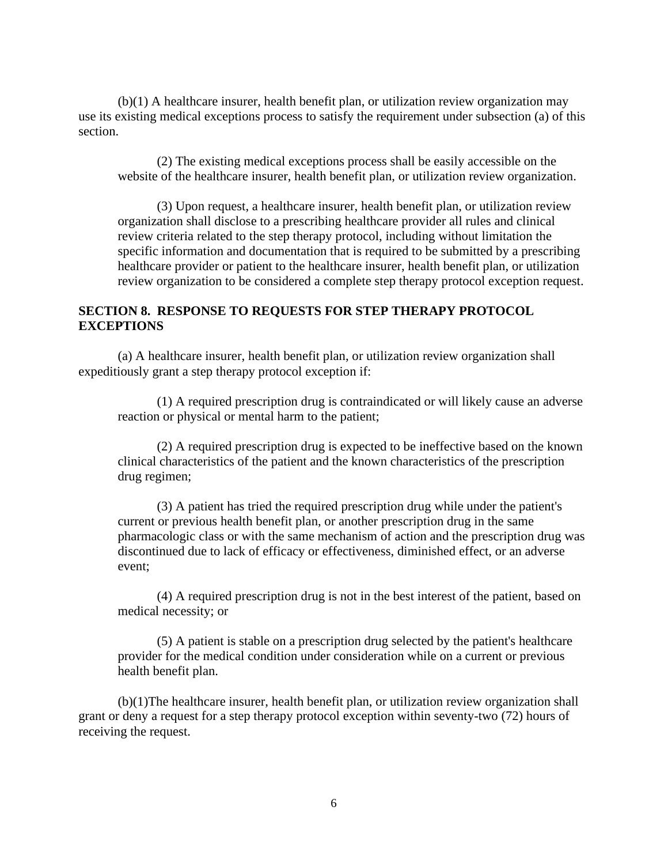(b)(1) A healthcare insurer, health benefit plan, or utilization review organization may use its existing medical exceptions process to satisfy the requirement under subsection (a) of this section.

(2) The existing medical exceptions process shall be easily accessible on the website of the healthcare insurer, health benefit plan, or utilization review organization.

(3) Upon request, a healthcare insurer, health benefit plan, or utilization review organization shall disclose to a prescribing healthcare provider all rules and clinical review criteria related to the step therapy protocol, including without limitation the specific information and documentation that is required to be submitted by a prescribing healthcare provider or patient to the healthcare insurer, health benefit plan, or utilization review organization to be considered a complete step therapy protocol exception request.

#### **SECTION 8. RESPONSE TO REQUESTS FOR STEP THERAPY PROTOCOL EXCEPTIONS**

(a) A healthcare insurer, health benefit plan, or utilization review organization shall expeditiously grant a step therapy protocol exception if:

(1) A required prescription drug is contraindicated or will likely cause an adverse reaction or physical or mental harm to the patient;

(2) A required prescription drug is expected to be ineffective based on the known clinical characteristics of the patient and the known characteristics of the prescription drug regimen;

(3) A patient has tried the required prescription drug while under the patient's current or previous health benefit plan, or another prescription drug in the same pharmacologic class or with the same mechanism of action and the prescription drug was discontinued due to lack of efficacy or effectiveness, diminished effect, or an adverse event;

(4) A required prescription drug is not in the best interest of the patient, based on medical necessity; or

(5) A patient is stable on a prescription drug selected by the patient's healthcare provider for the medical condition under consideration while on a current or previous health benefit plan.

(b)(1)The healthcare insurer, health benefit plan, or utilization review organization shall grant or deny a request for a step therapy protocol exception within seventy-two (72) hours of receiving the request.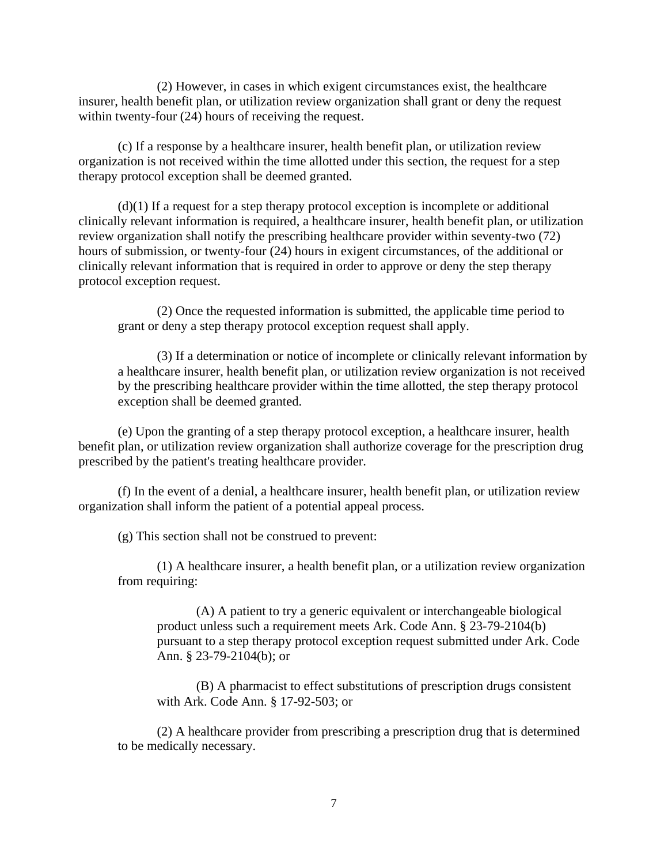(2) However, in cases in which exigent circumstances exist, the healthcare insurer, health benefit plan, or utilization review organization shall grant or deny the request within twenty-four (24) hours of receiving the request.

(c) If a response by a healthcare insurer, health benefit plan, or utilization review organization is not received within the time allotted under this section, the request for a step therapy protocol exception shall be deemed granted.

(d)(1) If a request for a step therapy protocol exception is incomplete or additional clinically relevant information is required, a healthcare insurer, health benefit plan, or utilization review organization shall notify the prescribing healthcare provider within seventy-two (72) hours of submission, or twenty-four (24) hours in exigent circumstances, of the additional or clinically relevant information that is required in order to approve or deny the step therapy protocol exception request.

(2) Once the requested information is submitted, the applicable time period to grant or deny a step therapy protocol exception request shall apply.

(3) If a determination or notice of incomplete or clinically relevant information by a healthcare insurer, health benefit plan, or utilization review organization is not received by the prescribing healthcare provider within the time allotted, the step therapy protocol exception shall be deemed granted.

(e) Upon the granting of a step therapy protocol exception, a healthcare insurer, health benefit plan, or utilization review organization shall authorize coverage for the prescription drug prescribed by the patient's treating healthcare provider.

(f) In the event of a denial, a healthcare insurer, health benefit plan, or utilization review organization shall inform the patient of a potential appeal process.

(g) This section shall not be construed to prevent:

(1) A healthcare insurer, a health benefit plan, or a utilization review organization from requiring:

(A) A patient to try a generic equivalent or interchangeable biological product unless such a requirement meets Ark. Code Ann. § 23-79-2104(b) pursuant to a step therapy protocol exception request submitted under Ark. Code Ann. § 23-79-2104(b); or

(B) A pharmacist to effect substitutions of prescription drugs consistent with Ark. Code Ann. § 17-92-503; or

(2) A healthcare provider from prescribing a prescription drug that is determined to be medically necessary.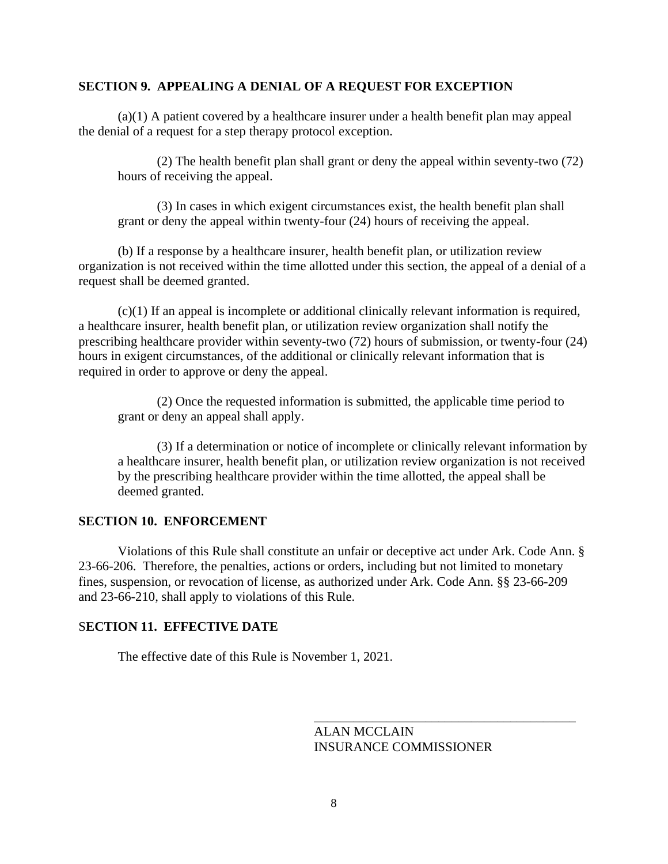## **SECTION 9. APPEALING A DENIAL OF A REQUEST FOR EXCEPTION**

(a)(1) A patient covered by a healthcare insurer under a health benefit plan may appeal the denial of a request for a step therapy protocol exception.

(2) The health benefit plan shall grant or deny the appeal within seventy-two (72) hours of receiving the appeal.

(3) In cases in which exigent circumstances exist, the health benefit plan shall grant or deny the appeal within twenty-four (24) hours of receiving the appeal.

(b) If a response by a healthcare insurer, health benefit plan, or utilization review organization is not received within the time allotted under this section, the appeal of a denial of a request shall be deemed granted.

(c)(1) If an appeal is incomplete or additional clinically relevant information is required, a healthcare insurer, health benefit plan, or utilization review organization shall notify the prescribing healthcare provider within seventy-two (72) hours of submission, or twenty-four (24) hours in exigent circumstances, of the additional or clinically relevant information that is required in order to approve or deny the appeal.

(2) Once the requested information is submitted, the applicable time period to grant or deny an appeal shall apply.

(3) If a determination or notice of incomplete or clinically relevant information by a healthcare insurer, health benefit plan, or utilization review organization is not received by the prescribing healthcare provider within the time allotted, the appeal shall be deemed granted.

# **SECTION 10. ENFORCEMENT**

Violations of this Rule shall constitute an unfair or deceptive act under Ark. Code Ann. § 23-66-206. Therefore, the penalties, actions or orders, including but not limited to monetary fines, suspension, or revocation of license, as authorized under Ark. Code Ann. §§ 23-66-209 and 23-66-210, shall apply to violations of this Rule.

# S**ECTION 11. EFFECTIVE DATE**

The effective date of this Rule is November 1, 2021.

ALAN MCCLAIN INSURANCE COMMISSIONER

\_\_\_\_\_\_\_\_\_\_\_\_\_\_\_\_\_\_\_\_\_\_\_\_\_\_\_\_\_\_\_\_\_\_\_\_\_\_\_\_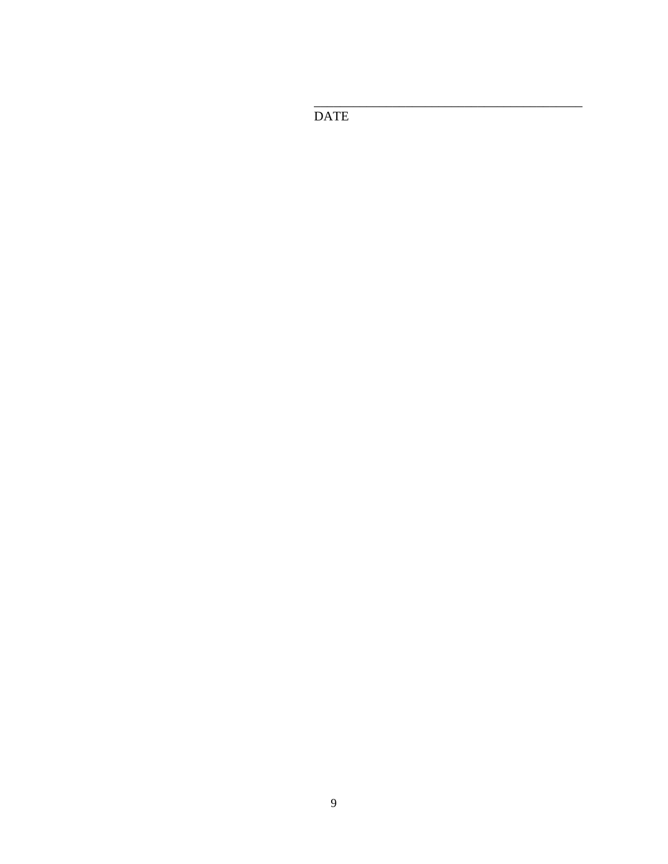**DATE**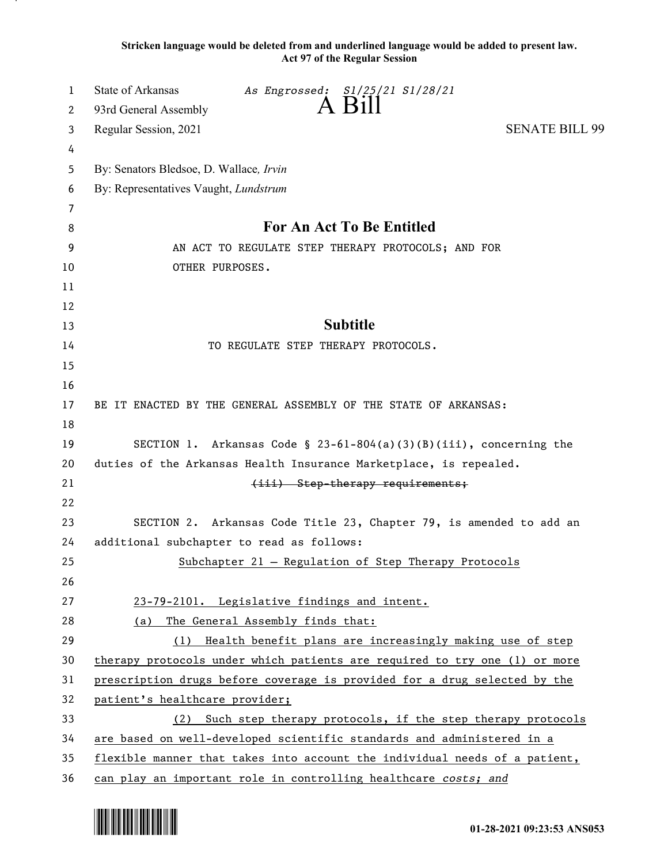**Stricken language would be deleted from and underlined language would be added to present law. Act 97 of the Regular Session**

| 1        | State of Arkansas<br>As Engrossed: S1/25/21 S1/28/21<br>A Bill             |  |  |
|----------|----------------------------------------------------------------------------|--|--|
| 2        | 93rd General Assembly                                                      |  |  |
| 3        | <b>SENATE BILL 99</b><br>Regular Session, 2021                             |  |  |
| 4        |                                                                            |  |  |
| 5        | By: Senators Bledsoe, D. Wallace, Irvin                                    |  |  |
| 6        | By: Representatives Vaught, Lundstrum                                      |  |  |
| 7        |                                                                            |  |  |
| 8        | For An Act To Be Entitled                                                  |  |  |
| 9        | AN ACT TO REGULATE STEP THERAPY PROTOCOLS; AND FOR                         |  |  |
| 10       | OTHER PURPOSES.                                                            |  |  |
| 11       |                                                                            |  |  |
| 12       |                                                                            |  |  |
| 13       | <b>Subtitle</b>                                                            |  |  |
| 14       | TO REGULATE STEP THERAPY PROTOCOLS.                                        |  |  |
| 15       |                                                                            |  |  |
| 16       |                                                                            |  |  |
| 17<br>18 | BE IT ENACTED BY THE GENERAL ASSEMBLY OF THE STATE OF ARKANSAS:            |  |  |
| 19       | SECTION 1. Arkansas Code § 23-61-804(a)(3)(B)(iii), concerning the         |  |  |
| 20       | duties of the Arkansas Health Insurance Marketplace, is repealed.          |  |  |
| 21       | (iii) Step-therapy requirements;                                           |  |  |
| 22       |                                                                            |  |  |
| 23       | SECTION 2. Arkansas Code Title 23, Chapter 79, is amended to add an        |  |  |
| 24       | additional subchapter to read as follows:                                  |  |  |
| 25       | Subchapter 21 - Regulation of Step Therapy Protocols                       |  |  |
| 26       |                                                                            |  |  |
| 27       | 23-79-2101. Legislative findings and intent.                               |  |  |
| 28       | (a) The General Assembly finds that:                                       |  |  |
| 29       | (1) Health benefit plans are increasingly making use of step               |  |  |
| 30       | therapy protocols under which patients are required to try one (1) or more |  |  |
| 31       | prescription drugs before coverage is provided for a drug selected by the  |  |  |
| 32       | patient's healthcare provider;                                             |  |  |
| 33       | (2) Such step therapy protocols, if the step therapy protocols             |  |  |
| 34       | are based on well-developed scientific standards and administered in a     |  |  |
| 35       | flexible manner that takes into account the individual needs of a patient, |  |  |
| 36       | can play an important role in controlling healthcare costs; and            |  |  |

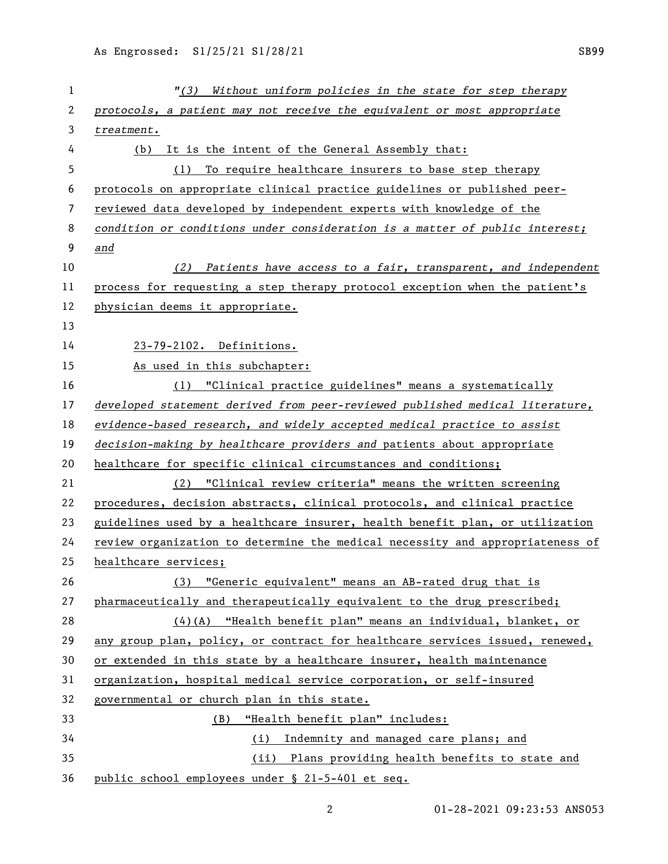| 1              | "(3) Without uniform policies in the state for step therapy                   |  |
|----------------|-------------------------------------------------------------------------------|--|
| $\overline{2}$ | protocols, a patient may not receive the equivalent or most appropriate       |  |
| 3              | treatment.                                                                    |  |
| 4              | It is the intent of the General Assembly that:<br>(b)                         |  |
| 5              | To require healthcare insurers to base step therapy<br>(1)                    |  |
| 6              | protocols on appropriate clinical practice guidelines or published peer-      |  |
| 7              | reviewed data developed by independent experts with knowledge of the          |  |
| 8              | condition or conditions under consideration is a matter of public interest;   |  |
| 9              | and                                                                           |  |
| 10             | Patients have access to a fair, transparent, and independent<br>(2)           |  |
| 11             | process for requesting a step therapy protocol exception when the patient's   |  |
| 12             | physician deems it appropriate.                                               |  |
| 13             |                                                                               |  |
| 14             | 23-79-2102. Definitions.                                                      |  |
| 15             | As used in this subchapter:                                                   |  |
| 16             | (1) "Clinical practice guidelines" means a systematically                     |  |
| 17             | developed statement derived from peer-reviewed published medical literature,  |  |
| 18             | evidence-based research, and widely accepted medical practice to assist       |  |
| 19             | decision-making by healthcare providers and patients about appropriate        |  |
| 20             | healthcare for specific clinical circumstances and conditions;                |  |
| 21             | (2) "Clinical review criteria" means the written screening                    |  |
| 22             | procedures, decision abstracts, clinical protocols, and clinical practice     |  |
| 23             | guidelines used by a healthcare insurer, health benefit plan, or utilization  |  |
| 24             | review organization to determine the medical necessity and appropriateness of |  |
| 25             | healthcare services;                                                          |  |
| 26             | (3) "Generic equivalent" means an AB-rated drug that is                       |  |
| 27             | pharmaceutically and therapeutically equivalent to the drug prescribed;       |  |
| 28             | $(4)$ (A) "Health benefit plan" means an individual, blanket, or              |  |
| 29             | any group plan, policy, or contract for healthcare services issued, renewed,  |  |
| 30             | or extended in this state by a healthcare insurer, health maintenance         |  |
| 31             | organization, hospital medical service corporation, or self-insured           |  |
| 32             | governmental or church plan in this state.                                    |  |
| 33             | "Health benefit plan" includes:<br>(B)                                        |  |
| 34             | Indemnity and managed care plans; and<br>(i)                                  |  |
| 35             | (ii) Plans providing health benefits to state and                             |  |
| 36             | public school employees under § 21-5-401 et seq.                              |  |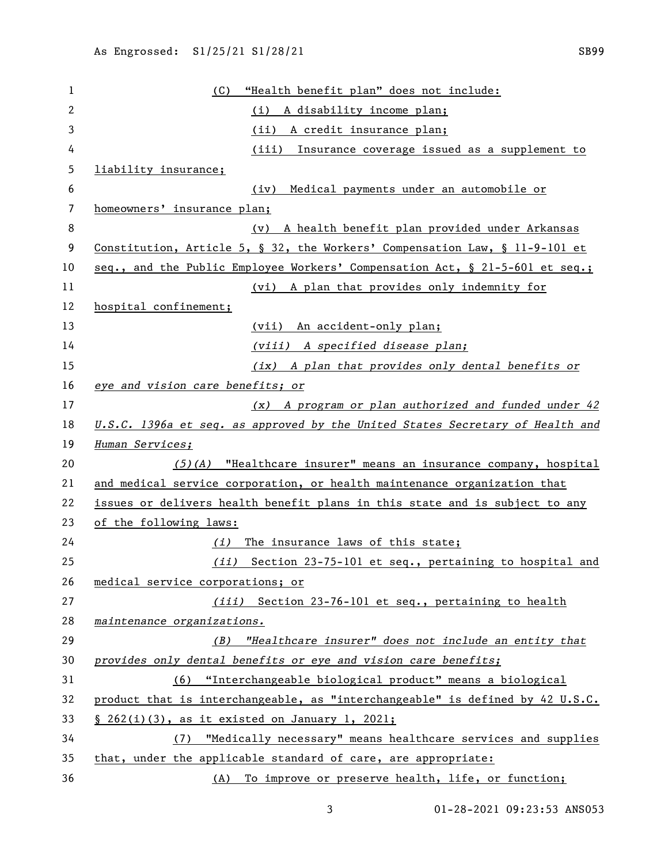| 1  | "Health benefit plan" does not include:<br>(C)                                |  |
|----|-------------------------------------------------------------------------------|--|
| 2  | A disability income plan;<br>(i)                                              |  |
| 3  | (ii) A credit insurance plan;                                                 |  |
| 4  | (iii)<br>Insurance coverage issued as a supplement to                         |  |
| 5  | liability insurance;                                                          |  |
| 6  | Medical payments under an automobile or<br>(iv)                               |  |
| 7  | homeowners' insurance plan;                                                   |  |
| 8  | A health benefit plan provided under Arkansas<br>(v)                          |  |
| 9  | Constitution, Article 5, § 32, the Workers' Compensation Law, § 11-9-101 et   |  |
| 10 | seq., and the Public Employee Workers' Compensation Act, § 21-5-601 et seq.;  |  |
| 11 | (vi) A plan that provides only indemnity for                                  |  |
| 12 | hospital confinement;                                                         |  |
| 13 | (vii) An accident-only plan;                                                  |  |
| 14 | (viii) A specified disease plan;                                              |  |
| 15 | (ix) A plan that provides only dental benefits or                             |  |
| 16 | eye and vision care benefits; or                                              |  |
| 17 | (x) A program or plan authorized and funded under 42                          |  |
| 18 | U.S.C. 1396a et seq. as approved by the United States Secretary of Health and |  |
| 19 | Human Services;                                                               |  |
| 20 | $(5)(A)$ "Healthcare insurer" means an insurance company, hospital            |  |
| 21 | and medical service corporation, or health maintenance organization that      |  |
| 22 | issues or delivers health benefit plans in this state and is subject to any   |  |
| 23 | of the following laws:                                                        |  |
| 24 | The insurance laws of this state;<br>(i)                                      |  |
| 25 | (ii) Section 23-75-101 et seq., pertaining to hospital and                    |  |
| 26 | medical service corporations; or                                              |  |
| 27 | (iii) Section 23-76-101 et seq., pertaining to health                         |  |
| 28 | maintenance organizations.                                                    |  |
| 29 | "Healthcare insurer" does not include an entity that<br>(B)                   |  |
| 30 | provides only dental benefits or eye and vision care benefits;                |  |
| 31 | (6) "Interchangeable biological product" means a biological                   |  |
| 32 | product that is interchangeable, as "interchangeable" is defined by 42 U.S.C. |  |
| 33 | § 262(i)(3), as it existed on January 1, 2021;                                |  |
| 34 | (7) "Medically necessary" means healthcare services and supplies              |  |
| 35 | that, under the applicable standard of care, are appropriate:                 |  |
| 36 | (A) To improve or preserve health, life, or function;                         |  |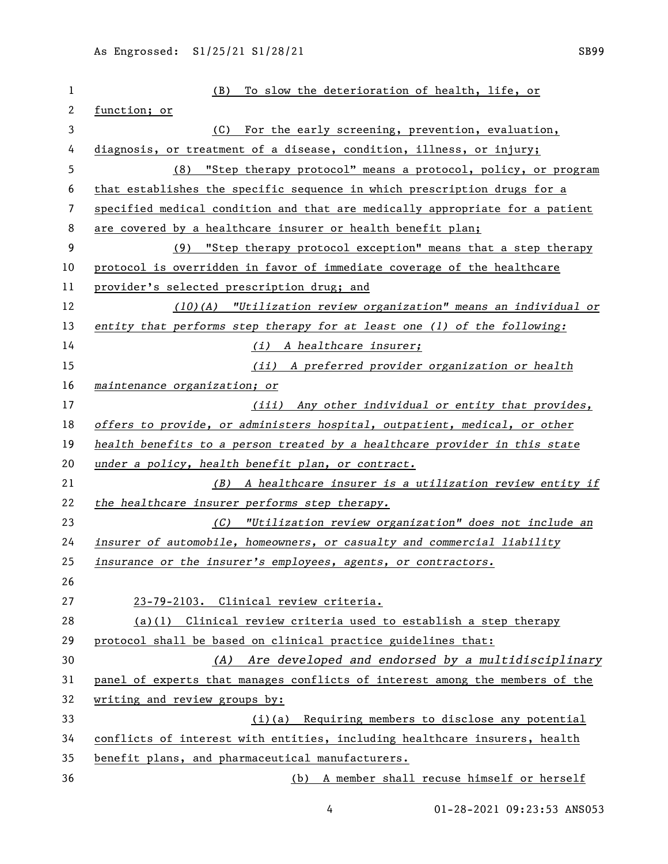| $\mathbf{1}$   | To slow the deterioration of health, life, or<br>(B)                         |  |
|----------------|------------------------------------------------------------------------------|--|
| $\overline{c}$ | function; or                                                                 |  |
| 3              | For the early screening, prevention, evaluation,<br>(C)                      |  |
| 4              | diagnosis, or treatment of a disease, condition, illness, or injury;         |  |
| 5              | "Step therapy protocol" means a protocol, policy, or program<br>(8)          |  |
| 6              | that establishes the specific sequence in which prescription drugs for a     |  |
| 7              | specified medical condition and that are medically appropriate for a patient |  |
| 8              | are covered by a healthcare insurer or health benefit plan;                  |  |
| 9              | (9) "Step therapy protocol exception" means that a step therapy              |  |
| 10             | protocol is overridden in favor of immediate coverage of the healthcare      |  |
| 11             | provider's selected prescription drug; and                                   |  |
| 12             | (10)(A) "Utilization review organization" means an individual or             |  |
| 13             | entity that performs step therapy for at least one (1) of the following:     |  |
| 14             | (i) A healthcare insurer;                                                    |  |
| 15             | (ii) A preferred provider organization or health                             |  |
| 16             | maintenance organization; or                                                 |  |
| 17             | (iii) Any other individual or entity that provides,                          |  |
| 18             | offers to provide, or administers hospital, outpatient, medical, or other    |  |
| 19             | health benefits to a person treated by a healthcare provider in this state   |  |
| 20             | under a policy, health benefit plan, or contract.                            |  |
| 21             | (B) A healthcare insurer is a utilization review entity if                   |  |
| 22             | the healthcare insurer performs step therapy.                                |  |
| 23             | (C) "Utilization review organization" does not include an                    |  |
| 24             | insurer of automobile, homeowners, or casualty and commercial liability      |  |
| 25             | insurance or the insurer's employees, agents, or contractors.                |  |
| 26             |                                                                              |  |
| 27             | 23-79-2103. Clinical review criteria.                                        |  |
| 28             | $(a)(1)$ Clinical review criteria used to establish a step therapy           |  |
| 29             | protocol shall be based on clinical practice guidelines that:                |  |
| 30             | (A) Are developed and endorsed by a multidisciplinary                        |  |
| 31             | panel of experts that manages conflicts of interest among the members of the |  |
| 32             | writing and review groups by:                                                |  |
| 33             | (i)(a) Requiring members to disclose any potential                           |  |
| 34             | conflicts of interest with entities, including healthcare insurers, health   |  |
| 35             | benefit plans, and pharmaceutical manufacturers.                             |  |
| 36             | (b) A member shall recuse himself or herself                                 |  |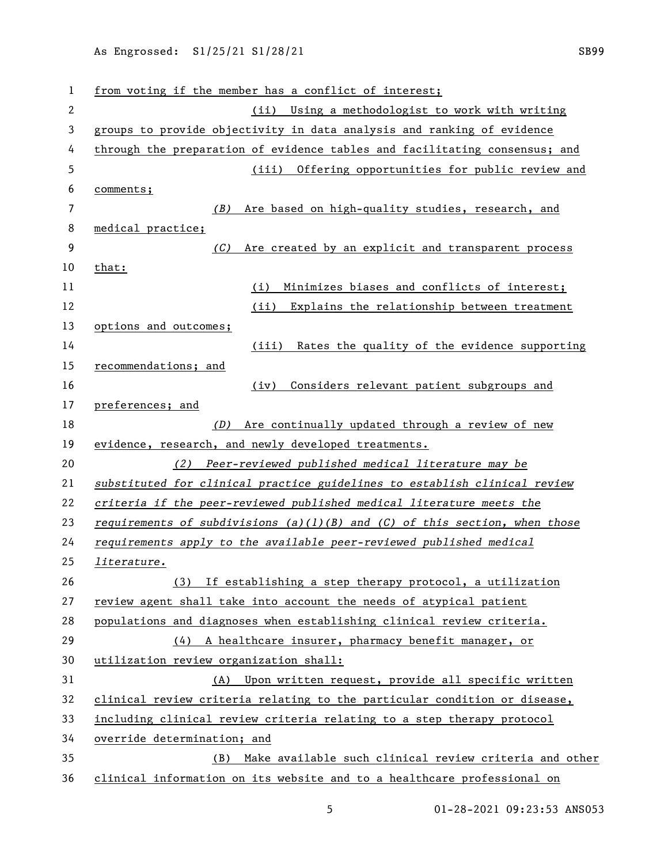| 1              | from voting if the member has a conflict of interest;                      |  |
|----------------|----------------------------------------------------------------------------|--|
| $\overline{c}$ | Using a methodologist to work with writing<br>(ii)                         |  |
| 3              | groups to provide objectivity in data analysis and ranking of evidence     |  |
| 4              | through the preparation of evidence tables and facilitating consensus; and |  |
| 5              | (iii) Offering opportunities for public review and                         |  |
| 6              | comments;                                                                  |  |
| 7              | Are based on high-quality studies, research, and<br>(B)                    |  |
| 8              | medical practice;                                                          |  |
| 9              | Are created by an explicit and transparent process<br>(C)                  |  |
| 10             | that:                                                                      |  |
| 11             | Minimizes biases and conflicts of interest;<br>(i)                         |  |
| 12             | (ii)<br>Explains the relationship between treatment                        |  |
| 13             | options and outcomes;                                                      |  |
| 14             | Rates the quality of the evidence supporting<br>(iii)                      |  |
| 15             | recommendations; and                                                       |  |
| 16             | Considers relevant patient subgroups and<br>(iv)                           |  |
| 17             | preferences; and                                                           |  |
| 18             | Are continually updated through a review of new<br>(D)                     |  |
| 19             | evidence, research, and newly developed treatments.                        |  |
| 20             | Peer-reviewed published medical literature may be<br>(2)                   |  |
| 21             | substituted for clinical practice guidelines to establish clinical review  |  |
| 22             | criteria if the peer-reviewed published medical literature meets the       |  |
| 23             | requirements of subdivisions (a)(1)(B) and (C) of this section, when those |  |
| 24             | requirements apply to the available peer-reviewed published medical        |  |
| 25             | literature.                                                                |  |
| 26             | (3) If establishing a step therapy protocol, a utilization                 |  |
| 27             | review agent shall take into account the needs of atypical patient         |  |
| 28             | populations and diagnoses when establishing clinical review criteria.      |  |
| 29             | A healthcare insurer, pharmacy benefit manager, or<br>(4)                  |  |
| 30             | utilization review organization shall:                                     |  |
| 31             | Upon written request, provide all specific written<br>(A)                  |  |
| 32             | clinical review criteria relating to the particular condition or disease,  |  |
| 33             | including clinical review criteria relating to a step therapy protocol     |  |
| 34             | override determination; and                                                |  |
| 35             | Make available such clinical review criteria and other<br>(B)              |  |
| 36             | clinical information on its website and to a healthcare professional on    |  |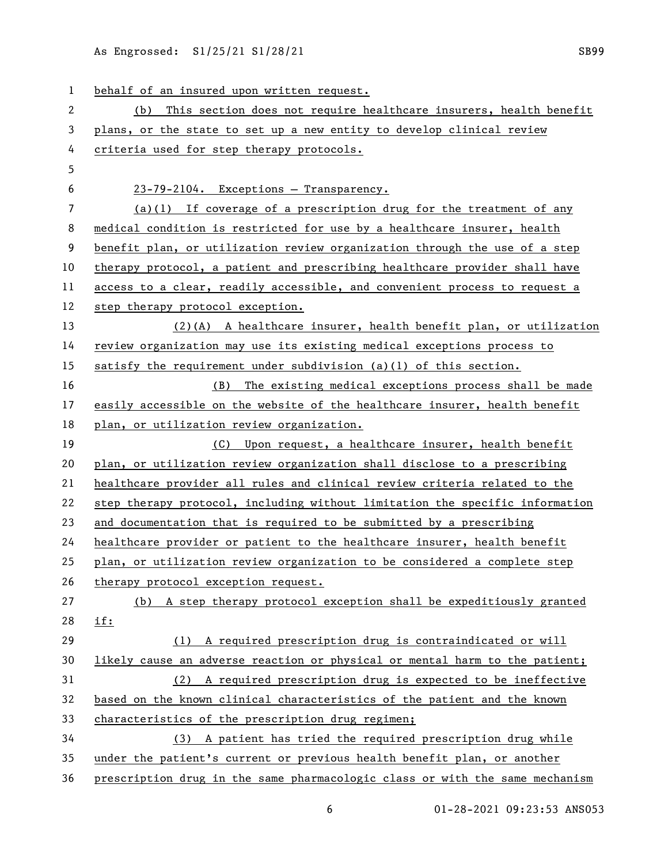As Engrossed: S1/25/21 S1/28/21 SENDING SB99

| 1  | behalf of an insured upon written request.                                   |
|----|------------------------------------------------------------------------------|
| 2  | This section does not require healthcare insurers, health benefit<br>(b)     |
| 3  | plans, or the state to set up a new entity to develop clinical review        |
| 4  | criteria used for step therapy protocols.                                    |
| 5  |                                                                              |
| 6  | 23-79-2104. Exceptions - Transparency.                                       |
| 7  | $(a)(1)$ If coverage of a prescription drug for the treatment of any         |
| 8  | medical condition is restricted for use by a healthcare insurer, health      |
| 9  | benefit plan, or utilization review organization through the use of a step   |
| 10 | therapy protocol, a patient and prescribing healthcare provider shall have   |
| 11 | access to a clear, readily accessible, and convenient process to request a   |
| 12 | step therapy protocol exception.                                             |
| 13 | $(2)$ (A) A healthcare insurer, health benefit plan, or utilization          |
| 14 | review organization may use its existing medical exceptions process to       |
| 15 | satisfy the requirement under subdivision (a)(1) of this section.            |
| 16 | The existing medical exceptions process shall be made<br>(B)                 |
| 17 | easily accessible on the website of the healthcare insurer, health benefit   |
| 18 | plan, or utilization review organization.                                    |
| 19 | (C) Upon request, a healthcare insurer, health benefit                       |
| 20 | plan, or utilization review organization shall disclose to a prescribing     |
| 21 | healthcare provider all rules and clinical review criteria related to the    |
| 22 | step therapy protocol, including without limitation the specific information |
| 23 | and documentation that is required to be submitted by a prescribing          |
| 24 | healthcare provider or patient to the healthcare insurer, health benefit     |
| 25 | plan, or utilization review organization to be considered a complete step    |
| 26 | therapy protocol exception request.                                          |
| 27 | A step therapy protocol exception shall be expeditiously granted<br>(b)      |
| 28 | <u>if:</u>                                                                   |
| 29 | A required prescription drug is contraindicated or will<br>(1)               |
| 30 | likely cause an adverse reaction or physical or mental harm to the patient;  |
| 31 | A required prescription drug is expected to be ineffective<br>(2)            |
| 32 | based on the known clinical characteristics of the patient and the known     |
| 33 | characteristics of the prescription drug regimen;                            |
| 34 | (3) A patient has tried the required prescription drug while                 |
| 35 | under the patient's current or previous health benefit plan, or another      |
| 36 | prescription drug in the same pharmacologic class or with the same mechanism |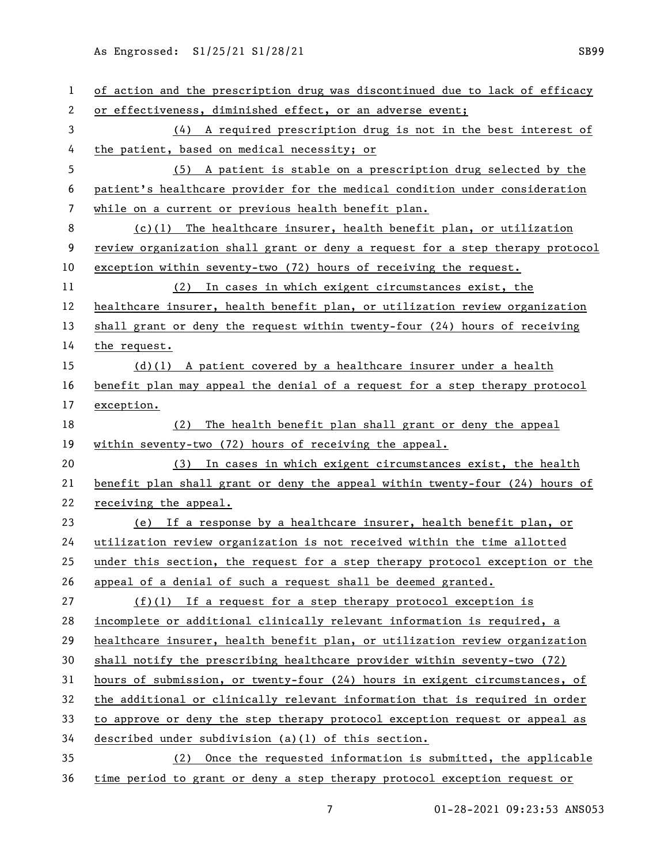As Engrossed: S1/25/21 S1/28/21 SESP9

| 1  | of action and the prescription drug was discontinued due to lack of efficacy  |
|----|-------------------------------------------------------------------------------|
| 2  | or effectiveness, diminished effect, or an adverse event;                     |
| 3  | (4) A required prescription drug is not in the best interest of               |
| 4  | the patient, based on medical necessity; or                                   |
| 5  | (5) A patient is stable on a prescription drug selected by the                |
| 6  | patient's healthcare provider for the medical condition under consideration   |
| 7  | while on a current or previous health benefit plan.                           |
| 8  | $(c)(1)$ The healthcare insurer, health benefit plan, or utilization          |
| 9  | review organization shall grant or deny a request for a step therapy protocol |
| 10 | exception within seventy-two (72) hours of receiving the request.             |
| 11 | In cases in which exigent circumstances exist, the<br>(2)                     |
| 12 | healthcare insurer, health benefit plan, or utilization review organization   |
| 13 | shall grant or deny the request within twenty-four (24) hours of receiving    |
| 14 | the request.                                                                  |
| 15 | $(d)(1)$ A patient covered by a healthcare insurer under a health             |
| 16 | benefit plan may appeal the denial of a request for a step therapy protocol   |
| 17 | exception.                                                                    |
| 18 | The health benefit plan shall grant or deny the appeal<br>(2)                 |
| 19 | within seventy-two (72) hours of receiving the appeal.                        |
| 20 | (3) In cases in which exigent circumstances exist, the health                 |
| 21 | benefit plan shall grant or deny the appeal within twenty-four (24) hours of  |
| 22 | receiving the appeal.                                                         |
| 23 | (e) If a response by a healthcare insurer, health benefit plan, or            |
| 24 | utilization review organization is not received within the time allotted      |
| 25 | under this section, the request for a step therapy protocol exception or the  |
| 26 | appeal of a denial of such a request shall be deemed granted.                 |
| 27 | $(f)(1)$ If a request for a step therapy protocol exception is                |
| 28 | incomplete or additional clinically relevant information is required, a       |
| 29 | healthcare insurer, health benefit plan, or utilization review organization   |
| 30 | shall notify the prescribing healthcare provider within seventy-two (72)      |
| 31 | hours of submission, or twenty-four (24) hours in exigent circumstances, of   |
| 32 | the additional or clinically relevant information that is required in order   |
| 33 | to approve or deny the step therapy protocol exception request or appeal as   |
| 34 | described under subdivision (a)(1) of this section.                           |
| 35 | (2) Once the requested information is submitted, the applicable               |
| 36 | time period to grant or deny a step therapy protocol exception request or     |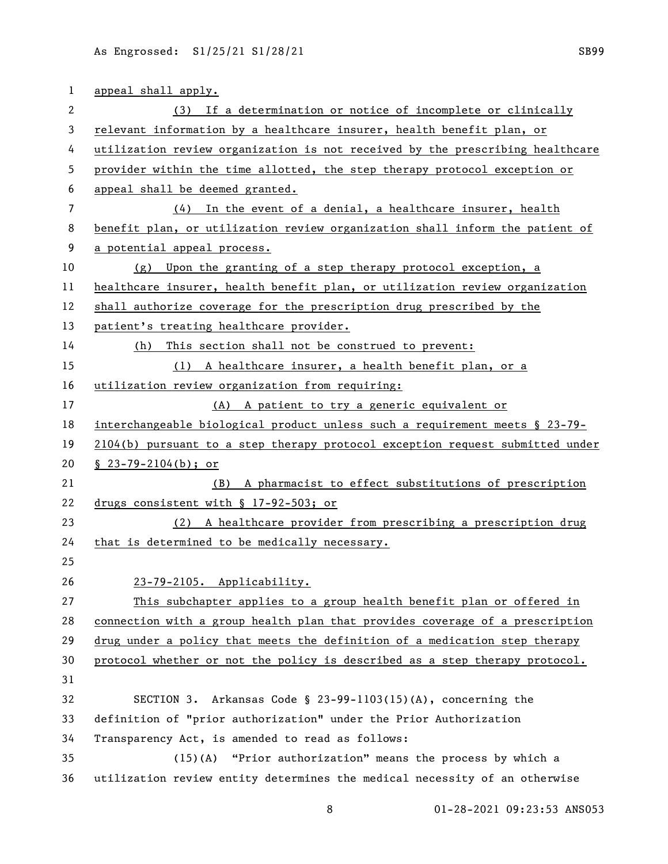| 1  | appeal shall apply.                                                           |
|----|-------------------------------------------------------------------------------|
| 2  | (3) If a determination or notice of incomplete or clinically                  |
| 3  | relevant information by a healthcare insurer, health benefit plan, or         |
| 4  | utilization review organization is not received by the prescribing healthcare |
| 5  | provider within the time allotted, the step therapy protocol exception or     |
| 6  | appeal shall be deemed granted.                                               |
| 7  | In the event of a denial, a healthcare insurer, health<br>(4)                 |
| 8  | benefit plan, or utilization review organization shall inform the patient of  |
| 9  | a potential appeal process.                                                   |
| 10 | (g) Upon the granting of a step therapy protocol exception, a                 |
| 11 | healthcare insurer, health benefit plan, or utilization review organization   |
| 12 | shall authorize coverage for the prescription drug prescribed by the          |
| 13 | patient's treating healthcare provider.                                       |
| 14 | This section shall not be construed to prevent:<br>(h)                        |
| 15 | (1) A healthcare insurer, a health benefit plan, or a                         |
| 16 | utilization review organization from requiring:                               |
| 17 | (A) A patient to try a generic equivalent or                                  |
| 18 | interchangeable biological product unless such a requirement meets § 23-79-   |
| 19 | 2104(b) pursuant to a step therapy protocol exception request submitted under |
| 20 | $\S$ 23-79-2104(b); or                                                        |
| 21 | (B) A pharmacist to effect substitutions of prescription                      |
| 22 | drugs consistent with $\S$ 17-92-503; or                                      |
| 23 | (2) A healthcare provider from prescribing a prescription drug                |
| 24 | that is determined to be medically necessary.                                 |
| 25 |                                                                               |
| 26 | 23-79-2105. Applicability.                                                    |
| 27 | This subchapter applies to a group health benefit plan or offered in          |
| 28 | connection with a group health plan that provides coverage of a prescription  |
| 29 | drug under a policy that meets the definition of a medication step therapy    |
| 30 | protocol whether or not the policy is described as a step therapy protocol.   |
| 31 |                                                                               |
| 32 | SECTION 3. Arkansas Code § $23-99-1103(15)(A)$ , concerning the               |
| 33 | definition of "prior authorization" under the Prior Authorization             |
| 34 | Transparency Act, is amended to read as follows:                              |
| 35 | (15)(A) "Prior authorization" means the process by which a                    |
| 36 | utilization review entity determines the medical necessity of an otherwise    |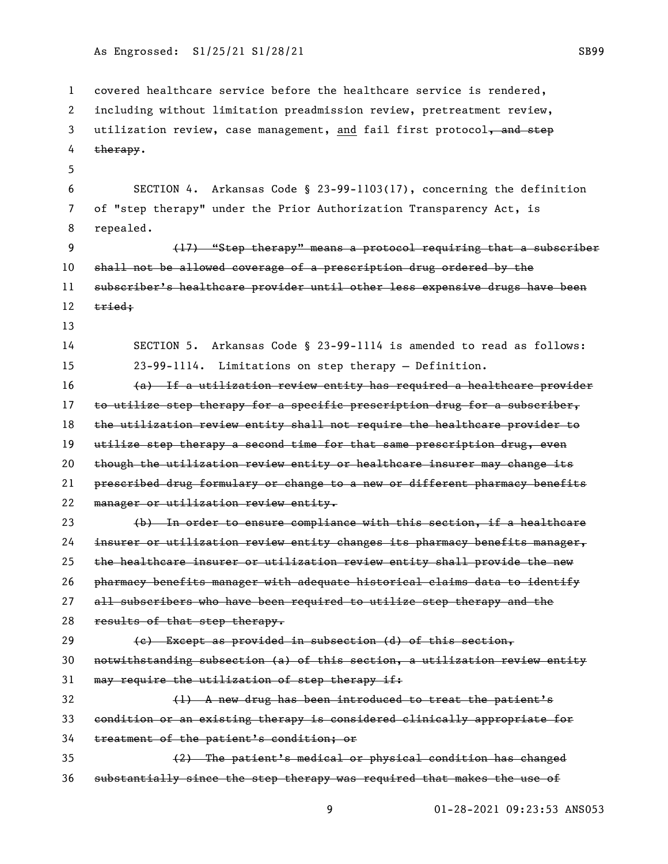As Engrossed: S1/25/21 S1/28/21 Settleman and the SB99 SB99

 covered healthcare service before the healthcare service is rendered, including without limitation preadmission review, pretreatment review, 3 utilization review, case management, and fail first protocol, and step 4 therapy. SECTION 4. Arkansas Code § 23-99-1103(17), concerning the definition of "step therapy" under the Prior Authorization Transparency Act, is repealed. (17) "Step therapy" means a protocol requiring that a subscriber shall not be allowed coverage of a prescription drug ordered by the subscriber's healthcare provider until other less expensive drugs have been 12 tried; SECTION 5. Arkansas Code § 23-99-1114 is amended to read as follows: 23-99-1114. Limitations on step therapy — Definition. (a) If a utilization review entity has required a healthcare provider 17 to utilize step therapy for a specific prescription drug for a subscriber, 18 the utilization review entity shall not require the healthcare provider to 19 utilize step therapy a second time for that same prescription drug, even 20 though the utilization review entity or healtheare insurer may change its prescribed drug formulary or change to a new or different pharmacy benefits manager or utilization review entity. (b) In order to ensure compliance with this section, if a healthcare insurer or utilization review entity changes its pharmacy benefits manager, 25 the healthcare insurer or utilization review entity shall provide the new pharmacy benefits manager with adequate historical claims data to identify all subscribers who have been required to utilize step therapy and the 28 results of that step therapy.  $\left\{ \mathrm{e}\right\}$  Except as provided in subsection (d) of this section, notwithstanding subsection (a) of this section, a utilization review entity 31 may require the utilization of step therapy if: (1) A new drug has been introduced to treat the patient's condition or an existing therapy is considered clinically appropriate for treatment of the patient's condition; or (2) The patient's medical or physical condition has changed substantially since the step therapy was required that makes the use of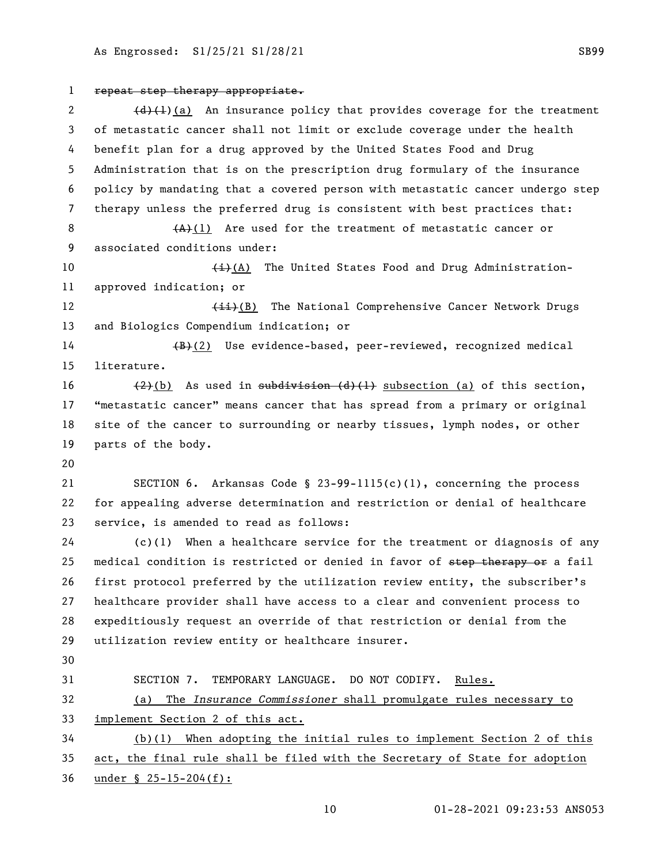repeat step therapy appropriate.  $(d)$  (d)(1) An insurance policy that provides coverage for the treatment of metastatic cancer shall not limit or exclude coverage under the health benefit plan for a drug approved by the United States Food and Drug Administration that is on the prescription drug formulary of the insurance policy by mandating that a covered person with metastatic cancer undergo step therapy unless the preferred drug is consistent with best practices that: 8 (A)(1) Are used for the treatment of metastatic cancer or associated conditions under: 10 (i)(A) The United States Food and Drug Administration- approved indication; or 12 (ii)(B) The National Comprehensive Cancer Network Drugs and Biologics Compendium indication; or 14 (B)(2) Use evidence-based, peer-reviewed, recognized medical literature.  $(2)(b)$  As used in subdivision  $(d)$  (1) subsection (a) of this section, "metastatic cancer" means cancer that has spread from a primary or original site of the cancer to surrounding or nearby tissues, lymph nodes, or other parts of the body. SECTION 6. Arkansas Code § 23-99-1115(c)(1), concerning the process for appealing adverse determination and restriction or denial of healthcare service, is amended to read as follows: (c)(1) When a healthcare service for the treatment or diagnosis of any 25 medical condition is restricted or denied in favor of step therapy or a fail first protocol preferred by the utilization review entity, the subscriber's healthcare provider shall have access to a clear and convenient process to expeditiously request an override of that restriction or denial from the utilization review entity or healthcare insurer. SECTION 7. TEMPORARY LANGUAGE. DO NOT CODIFY. Rules. (a) The *Insurance Commissioner* shall promulgate rules necessary to implement Section 2 of this act. (b)(1) When adopting the initial rules to implement Section 2 of this act, the final rule shall be filed with the Secretary of State for adoption under § 25-15-204(f):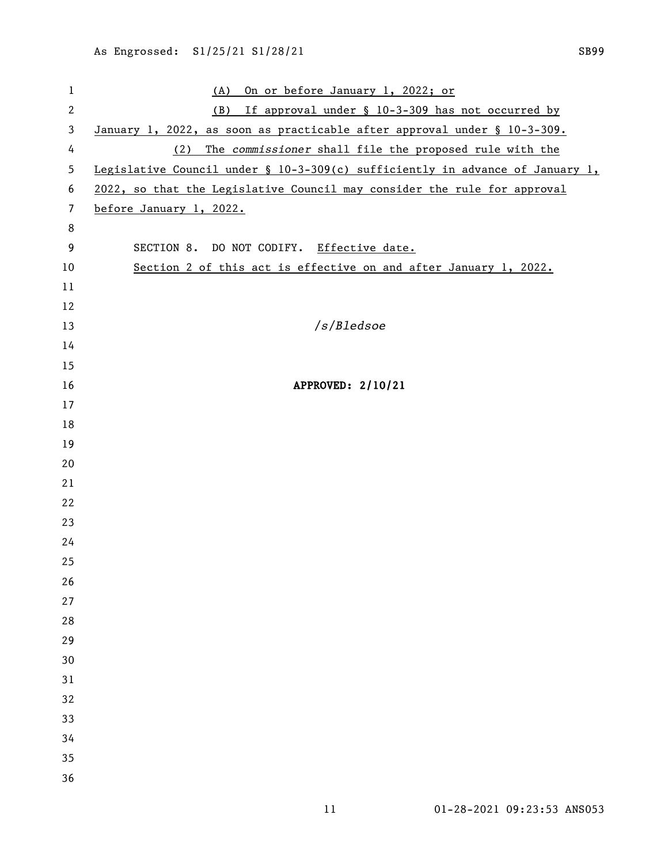(A) On or before January 1, 2022; or (B) If approval under § 10-3-309 has not occurred by January 1, 2022, as soon as practicable after approval under § 10-3-309. (2) The *commissioner* shall file the proposed rule with the Legislative Council under § 10-3-309(c) sufficiently in advance of January 1, 2022, so that the Legislative Council may consider the rule for approval before January 1, 2022. SECTION 8. DO NOT CODIFY. Effective date. Section 2 of this act is effective on and after January 1, 2022. */s/Bledsoe* APPROVED: 2/10/21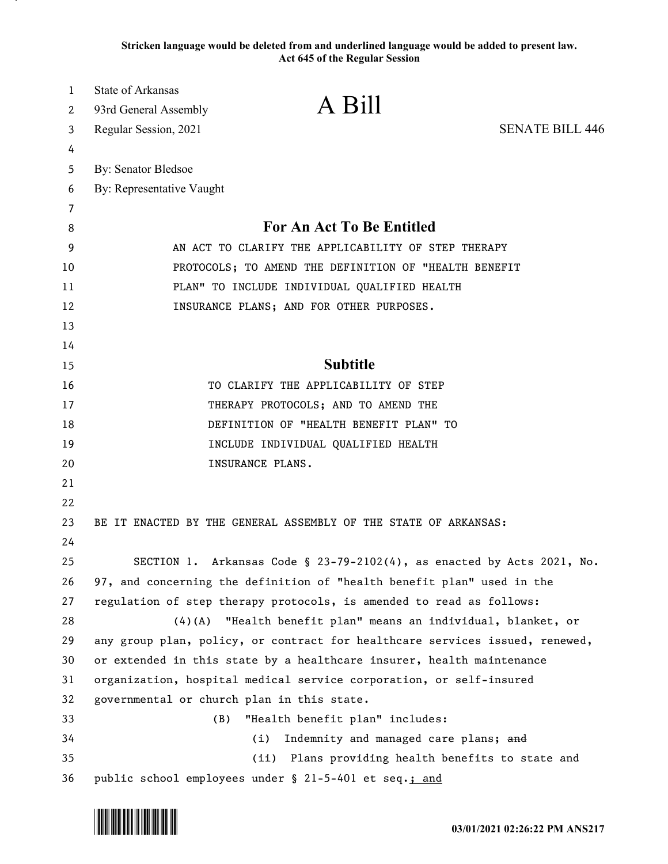**Stricken language would be deleted from and underlined language would be added to present law. Act 645 of the Regular Session**

| $\mathbf{1}$ | <b>State of Arkansas</b><br>A Bill                                                                                                               |                                                        |
|--------------|--------------------------------------------------------------------------------------------------------------------------------------------------|--------------------------------------------------------|
| 2            | 93rd General Assembly                                                                                                                            |                                                        |
| 3            | Regular Session, 2021                                                                                                                            | <b>SENATE BILL 446</b>                                 |
| 4            |                                                                                                                                                  |                                                        |
| 5            | By: Senator Bledsoe                                                                                                                              |                                                        |
| 6            | By: Representative Vaught                                                                                                                        |                                                        |
| 7            |                                                                                                                                                  |                                                        |
| 8            | For An Act To Be Entitled                                                                                                                        |                                                        |
| 9            | AN ACT TO CLARIFY THE APPLICABILITY OF STEP THERAPY                                                                                              |                                                        |
| 10           | PROTOCOLS; TO AMEND THE DEFINITION OF "HEALTH BENEFIT                                                                                            |                                                        |
| 11           | PLAN" TO INCLUDE INDIVIDUAL QUALIFIED HEALTH                                                                                                     |                                                        |
| 12           | INSURANCE PLANS; AND FOR OTHER PURPOSES.                                                                                                         |                                                        |
| 13           |                                                                                                                                                  |                                                        |
| 14           |                                                                                                                                                  |                                                        |
| 15           | <b>Subtitle</b>                                                                                                                                  |                                                        |
| 16           | TO CLARIFY THE APPLICABILITY OF STEP                                                                                                             |                                                        |
| 17           | THERAPY PROTOCOLS; AND TO AMEND THE                                                                                                              |                                                        |
| 18           | DEFINITION OF "HEALTH BENEFIT PLAN" TO                                                                                                           |                                                        |
| 19           | INCLUDE INDIVIDUAL QUALIFIED HEALTH                                                                                                              |                                                        |
| 20           | INSURANCE PLANS.                                                                                                                                 |                                                        |
| 21           |                                                                                                                                                  |                                                        |
| 22           |                                                                                                                                                  |                                                        |
| 23           | BE IT ENACTED BY THE GENERAL ASSEMBLY OF THE STATE OF ARKANSAS:                                                                                  |                                                        |
| 24<br>25     |                                                                                                                                                  |                                                        |
| 26           | SECTION 1. Arkansas Code § 23-79-2102(4), as enacted by Acts 2021, No.<br>97, and concerning the definition of "health benefit plan" used in the |                                                        |
| 27           | regulation of step therapy protocols, is amended to read as follows:                                                                             |                                                        |
| 28           | (4)(A)                                                                                                                                           | "Health benefit plan" means an individual, blanket, or |
| 29           | any group plan, policy, or contract for healthcare services issued, renewed,                                                                     |                                                        |
| 30           | or extended in this state by a healthcare insurer, health maintenance                                                                            |                                                        |
| 31           | organization, hospital medical service corporation, or self-insured                                                                              |                                                        |
| 32           | governmental or church plan in this state.                                                                                                       |                                                        |
| 33           | "Health benefit plan" includes:<br>(B)                                                                                                           |                                                        |
| 34           | (i)                                                                                                                                              | Indemnity and managed care plans; and                  |
| 35           |                                                                                                                                                  | (ii) Plans providing health benefits to state and      |
| 36           | public school employees under § 21-5-401 et seq.; and                                                                                            |                                                        |